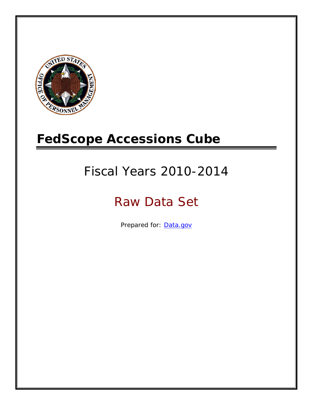

# **FedScope Accessions Cube**

# Fiscal Years 2010-2014

# Raw Data Set

Prepared for: [Data.gov](http://www.data.gov/)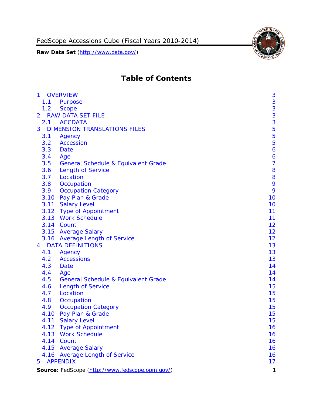

# **Table of Contents**

| $\mathbf{1}$   | <b>OVERVIEW</b>                                 | 3                |
|----------------|-------------------------------------------------|------------------|
| 1.1            | Purpose                                         | 3                |
| 1.2            | <b>Scope</b>                                    | $\mathbf{3}$     |
| $\overline{2}$ | <b>RAW DATA SET FILE</b>                        |                  |
| 2.1            | <b>ACCDATA</b>                                  | $\frac{3}{3}$    |
| 3              | <b>DIMENSION TRANSLATIONS FILES</b>             | 5                |
| 3.1            | Agency                                          | 5                |
| 3.2            | <b>Accession</b>                                | 5                |
| 3.3            | Date                                            | $\boldsymbol{6}$ |
| 3.4            | Age                                             | 6                |
| 3.5            | <b>General Schedule &amp; Equivalent Grade</b>  | $\overline{7}$   |
| 3.6            | <b>Length of Service</b>                        | 8                |
| 3.7            | Location                                        | 8                |
| 3.8            | Occupation                                      | 9                |
| 3.9            | <b>Occupation Category</b>                      | 9                |
|                | 3.10 Pay Plan & Grade                           | 10               |
|                | 3.11 Salary Level                               | 10               |
|                | 3.12 Type of Appointment                        | 11               |
|                | 3.13 Work Schedule                              | 11               |
|                | 3.14 Count                                      | 12               |
|                | 3.15 Average Salary                             | 12               |
|                | 3.16 Average Length of Service                  | 12               |
| 4              | <b>DATA DEFINITIONS</b>                         | 13               |
| 4.1            | Agency                                          | 13               |
| 4.2            | <b>Accessions</b>                               | 13               |
| 4.3            | Date                                            | 14               |
| 4.4            | Age                                             | 14               |
| 4.5            | <b>General Schedule &amp; Equivalent Grade</b>  | 14               |
| 4.6            | <b>Length of Service</b>                        | 15               |
| 4.7            | Location                                        | 15               |
| 4.8            | Occupation                                      | 15               |
| 4.9            | <b>Occupation Category</b>                      | 15               |
| 4.10           | Pay Plan & Grade                                | 15               |
|                | 4.11 Salary Level                               | 15               |
| 4.12           | <b>Type of Appointment</b>                      | 16               |
|                | 4.13 Work Schedule                              | 16               |
|                | 4.14 Count                                      | 16               |
|                | 4.15 Average Salary                             | 16               |
|                | 4.16 Average Length of Service                  | 16               |
| 5              | <b>APPENDIX</b>                                 | 17               |
|                | Source: FedScope (http://www.fedscope.opm.gov/) | $\mathbf{1}$     |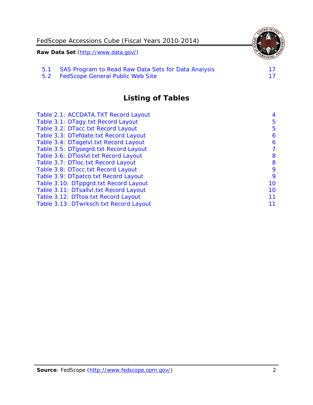

5.2 [FedScope General Public Web Site](#page-17-2)

# **Listing of Tables**

| Table 2.1: ACCDATA.TXT Record Layout   | 4  |
|----------------------------------------|----|
| Table 3.1: DTagy.txt Record Layout     | 5  |
| Table 3.2: DTacc.txt Record Layout     | 5  |
| Table 3.3: DTefdate.txt Record Layout  | 6  |
| Table 3.4: DTagelvl.txt Record Layout  | 6  |
| Table 3.5: DTgsegrd.txt Record Layout  | 7  |
| Table 3.6: DTloslvl.txt Record Layout  | 8  |
| Table 3.7: DTloc.txt Record Layout     | 8  |
| Table 3.8: DTocc.txt Record Layout     | 9  |
| Table 3.9: DTpatco.txt Record Layout   | 9  |
| Table 3.10: DTppgrd.txt Record Layout  | 10 |
| Table 3.11: DTsallvl.txt Record Layout | 10 |
| Table 3.12: DTtoa.txt Record Layout    | 11 |
| Table 3.13: DTwrksch.txt Record Layout | 11 |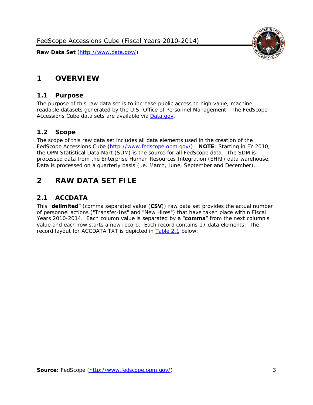

# <span id="page-3-0"></span>**1 OVERVIEW**

#### <span id="page-3-1"></span>*1.1 Purpose*

The purpose of this raw data set is to increase public access to high value, machine readable datasets generated by the U.S. Office of Personnel Management. The FedScope Accessions Cube data sets are available via [Data.gov.](http://www.data.gov/)

#### <span id="page-3-2"></span>*1.2 Scope*

The scope of this raw data set includes all data elements used in the creation of the FedScope Accessions Cube [\(http://www.fedscope.opm.gov/\)](http://www.fedscope.opm.gov/). **NOTE**: Starting in FY 2010, the OPM Statistical Data Mart (SDM) is the source for all FedScope data. The SDM is processed data from the Enterprise Human Resources Integration (EHRI) data warehouse. Data is processed on a quarterly basis (i.e. March, June, September and December).

# <span id="page-3-3"></span>**2 RAW DATA SET FILE**

#### <span id="page-3-4"></span>*2.1 ACCDATA*

This "**delimited**" (comma separated value (**CSV**)) raw data set provides the actual number of personnel actions ("Transfer-Ins" and "New Hires") that have taken place within Fiscal Years 2010-2014. Each column value is separated by a "**comma**" from the next column's value and each row starts a new record. Each record contains 17 data elements. The record layout for ACCDATA.TXT is depicted in [Table 2.1](#page-4-0) below: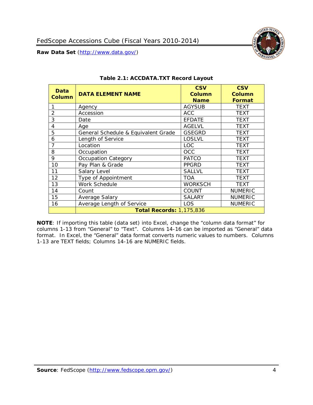

<span id="page-4-0"></span>

| Data<br>Column | <b>DATA ELEMENT NAME</b>            | <b>CSV</b><br>Column<br><b>Name</b> | <b>CSV</b><br><b>Column</b><br><b>Format</b> |
|----------------|-------------------------------------|-------------------------------------|----------------------------------------------|
|                | Agency                              | <b>AGYSUB</b>                       | <b>TEXT</b>                                  |
| 2              | Accession                           | <b>ACC</b>                          | <b>TEXT</b>                                  |
| 3              | Date                                | <b>EFDATE</b>                       | <b>TEXT</b>                                  |
| 4              | Age                                 | <b>AGELVL</b>                       | <b>TEXT</b>                                  |
| 5              | General Schedule & Equivalent Grade | <b>GSEGRD</b>                       | <b>TEXT</b>                                  |
| 6              | Length of Service                   | <b>LOSLVL</b>                       | <b>TEXT</b>                                  |
| 7              | Location                            | <b>LOC</b>                          | <b>TEXT</b>                                  |
| 8              | Occupation                          | <b>OCC</b>                          | <b>TEXT</b>                                  |
| 9              | <b>Occupation Category</b>          | <b>PATCO</b>                        | <b>TEXT</b>                                  |
| 10             | Pay Plan & Grade                    | <b>PPGRD</b>                        | <b>TEXT</b>                                  |
| 11             | Salary Level                        | <b>SALLVL</b>                       | <b>TEXT</b>                                  |
| 12             | Type of Appointment                 | <b>TOA</b>                          | <b>TEXT</b>                                  |
| 13             | Work Schedule                       | <b>WORKSCH</b>                      | <b>TEXT</b>                                  |
| 14             | Count                               | <b>COUNT</b>                        | <b>NUMERIC</b>                               |
| 15             | Average Salary                      | <b>SALARY</b>                       | <b>NUMERIC</b>                               |
| 16             | Average Length of Service           | <b>LOS</b>                          | <b>NUMERIC</b>                               |
|                | <b>Total Records: 1,175,836</b>     |                                     |                                              |

#### **Table 2.1: ACCDATA.TXT Record Layout**

**NOTE**: If importing this table (data set) into Excel, change the "column data format" for columns 1-13 from "General" to "Text". Columns 14-16 can be imported as "General" data format. In Excel, the "General" data format converts numeric values to numbers. Columns 1-13 are TEXT fields; Columns 14-16 are NUMERIC fields.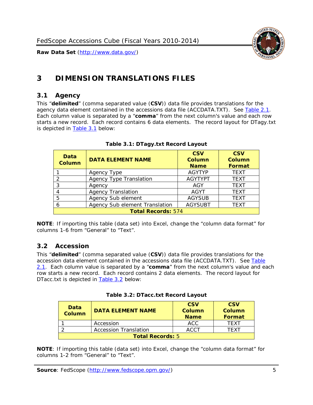

# <span id="page-5-0"></span>**3 DIMENSION TRANSLATIONS FILES**

#### <span id="page-5-1"></span>*3.1 Agency*

This "**delimited**" (comma separated value (**CSV**)) data file provides translations for the agency data element contained in the accessions data file (ACCDATA.TXT). See [Table 2.1.](#page-4-0) Each column value is separated by a "**comma**" from the next column's value and each row starts a new record. Each record contains 6 data elements. The record layout for DTagy.txt is depicted in [Table 3.1](#page-5-3) below:

<span id="page-5-3"></span>

| Data<br><b>Column</b>     | <b>DATA ELEMENT NAME</b>       | <b>CSV</b><br><b>Column</b><br><b>Name</b> | <b>CSV</b><br><b>Column</b><br><b>Format</b> |
|---------------------------|--------------------------------|--------------------------------------------|----------------------------------------------|
|                           | Agency Type                    | <b>AGYTYP</b>                              | <b>TEXT</b>                                  |
| 2                         | <b>Agency Type Translation</b> | <b>AGYTYPT</b>                             | <b>TEXT</b>                                  |
| 3                         | Agency                         | AGY                                        | <b>TEXT</b>                                  |
|                           | <b>Agency Translation</b>      | <b>AGYT</b>                                | <b>TEXT</b>                                  |
| 5                         | Agency Sub element             | <b>AGYSUB</b>                              | <b>TEXT</b>                                  |
|                           | Agency Sub element Translation | <b>AGYSUBT</b>                             | <b>TEXT</b>                                  |
| <b>Total Records: 574</b> |                                |                                            |                                              |

#### **Table 3.1: DTagy.txt Record Layout**

**NOTE**: If importing this table (data set) into Excel, change the "column data format" for columns 1-6 from "General" to "Text".

#### <span id="page-5-2"></span>*3.2 Accession*

This "**delimited**" (comma separated value (**CSV**)) data file provides translations for the accession data element contained in the accessions data file (ACCDATA.TXT). See [Table](#page-4-0)  [2.1.](#page-4-0) Each column value is separated by a "**comma**" from the next column's value and each row starts a new record. Each record contains 2 data elements. The record layout for DTacc.txt is depicted in [Table 3.2](#page-5-4) below:

<span id="page-5-4"></span>

| Data<br><b>Column</b>   | <b>DATA ELEMENT NAME</b>     | <b>CSV</b><br><b>Column</b><br><b>Name</b> | <b>CSV</b><br>Column<br>Format |
|-------------------------|------------------------------|--------------------------------------------|--------------------------------|
|                         | Accession                    | ACC                                        | TFXT                           |
|                         | <b>Accession Translation</b> | <b>ACCT</b>                                | TFXT                           |
| <b>Total Records: 5</b> |                              |                                            |                                |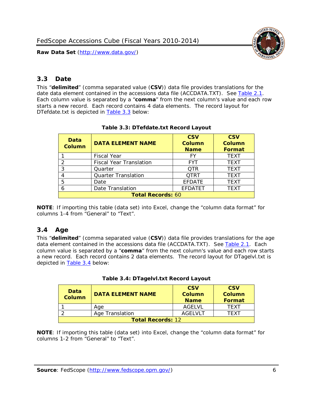

# <span id="page-6-0"></span>*3.3 Date*

This "**delimited**" (comma separated value (**CSV**)) data file provides translations for the date data element contained in the accessions data file (ACCDATA.TXT). See [Table 2.1.](#page-4-0) Each column value is separated by a "**comma**" from the next column's value and each row starts a new record. Each record contains 4 data elements. The record layout for DTefdate.txt is depicted in [Table 3.3](#page-6-2) below:

<span id="page-6-2"></span>

| Data<br><b>Column</b>    | <b>DATA ELEMENT NAME</b>       | <b>CSV</b><br>Column<br><b>Name</b> | <b>CSV</b><br>Column<br><b>Format</b> |
|--------------------------|--------------------------------|-------------------------------------|---------------------------------------|
|                          | <b>Fiscal Year</b>             | FY                                  | <b>TEXT</b>                           |
|                          | <b>Fiscal Year Translation</b> | <b>FYT</b>                          | <b>TEXT</b>                           |
| 3                        | Quarter                        | <b>OTR</b>                          | <b>TEXT</b>                           |
| 4                        | <b>Quarter Translation</b>     | <b>QTRT</b>                         | <b>TEXT</b>                           |
| 5                        | Date                           | <b>EFDATE</b>                       | <b>TEXT</b>                           |
| 6                        | Date Translation               | <b>EFDATET</b>                      | <b>TEXT</b>                           |
| <b>Total Records: 60</b> |                                |                                     |                                       |

#### **Table 3.3: DTefdate.txt Record Layout**

**NOTE**: If importing this table (data set) into Excel, change the "column data format" for columns 1-4 from "General" to "Text".

# <span id="page-6-1"></span>*3.4 Age*

This "**delimited**" (comma separated value (**CSV**)) data file provides translations for the age data element contained in the accessions data file (ACCDATA.TXT). See [Table 2.1.](#page-4-0) Each column value is separated by a "**comma**" from the next column's value and each row starts a new record. Each record contains 2 data elements. The record layout for DTagelvl.txt is depicted in [Table 3.4](#page-6-3) below:

| Table 3.4: DTagelvl.txt Record Layout |  |
|---------------------------------------|--|
|---------------------------------------|--|

<span id="page-6-3"></span>

| Data<br>Column           | <b>DATA ELEMENT NAME</b> | <b>CSV</b><br><b>Column</b><br><b>Name</b> | <b>CSV</b><br>Column<br>Format |
|--------------------------|--------------------------|--------------------------------------------|--------------------------------|
|                          | Age                      | AGELVL                                     | <b>TFXT</b>                    |
|                          | Age Translation          | AGELVLT                                    | TFXT                           |
| <b>Total Records: 12</b> |                          |                                            |                                |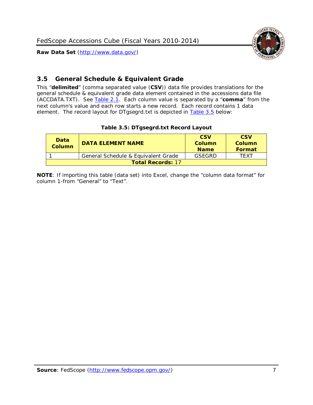

# <span id="page-7-0"></span>*3.5 General Schedule & Equivalent Grade*

This "**delimited**" (comma separated value (**CSV**)) data file provides translations for the general schedule & equivalent grade data element contained in the accessions data file (ACCDATA.TXT). See [Table 2.1.](#page-4-0) Each column value is separated by a "**comma**" from the next column's value and each row starts a new record. Each record contains 1 data element. The record layout for DTgsegrd.txt is depicted in [Table 3.5](#page-7-1) below:

#### **Table 3.5: DTgsegrd.txt Record Layout**

<span id="page-7-1"></span>

| Data<br>Column           | <b>DATA ELEMENT NAME</b>            | <b>CSV</b><br>Column<br><b>Name</b> | <b>CSV</b><br>Column<br><b>Format</b> |
|--------------------------|-------------------------------------|-------------------------------------|---------------------------------------|
|                          | General Schedule & Equivalent Grade | GSFGRD                              | TFXT                                  |
| <b>Total Records: 17</b> |                                     |                                     |                                       |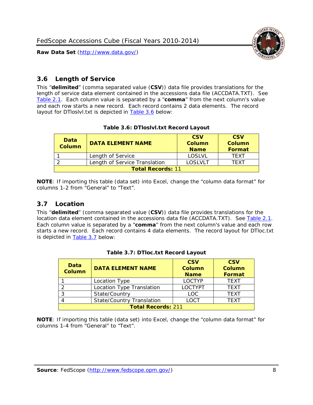



#### <span id="page-8-0"></span>*3.6 Length of Service*

This "**delimited**" (comma separated value (**CSV**)) data file provides translations for the length of service data element contained in the accessions data file (ACCDATA.TXT). See [Table 2.1.](#page-4-0) Each column value is separated by a "**comma**" from the next column's value and each row starts a new record. Each record contains 2 data elements. The record layout for DTloslvl.txt is depicted in **Table 3.6** below:

#### **Table 3.6: DTloslvl.txt Record Layout**

<span id="page-8-2"></span>

| Data<br><b>Column</b>    | <b>DATA ELEMENT NAME</b>      | <b>CSV</b><br><b>Column</b><br><b>Name</b> | <b>CSV</b><br>Column<br>Format |
|--------------------------|-------------------------------|--------------------------------------------|--------------------------------|
|                          | Length of Service             | <b>LOSLVL</b>                              | TFXT                           |
|                          | Length of Service Translation | LOSLVLT                                    | TFXT                           |
| <b>Total Records: 11</b> |                               |                                            |                                |

**NOTE**: If importing this table (data set) into Excel, change the "column data format" for columns 1-2 from "General" to "Text".

#### <span id="page-8-1"></span>*3.7 Location*

This "**delimited**" (comma separated value (**CSV**)) data file provides translations for the location data element contained in the accessions data file (ACCDATA.TXT). See [Table 2.1.](#page-4-0) Each column value is separated by a "**comma**" from the next column's value and each row starts a new record. Each record contains 4 data elements. The record layout for DTloc.txt is depicted in [Table 3.7](#page-8-3) below:

<span id="page-8-3"></span>

| <b>Data</b><br><b>Column</b> | <b>DATA ELEMENT NAME</b>         | <b>CSV</b><br>Column<br><b>Name</b> | <b>CSV</b><br><b>Column</b><br><b>Format</b> |
|------------------------------|----------------------------------|-------------------------------------|----------------------------------------------|
|                              | Location Type                    | <b>LOCTYP</b>                       | <b>TFXT</b>                                  |
|                              | Location Type Translation        | <b>LOCTYPT</b>                      | <b>TFXT</b>                                  |
| ာ                            | State/Country                    | LOC                                 | <b>TFXT</b>                                  |
|                              | <b>State/Country Translation</b> | LOCT                                | <b>TFXT</b>                                  |
| <b>Total Records: 211</b>    |                                  |                                     |                                              |

#### **Table 3.7: DTloc.txt Record Layout**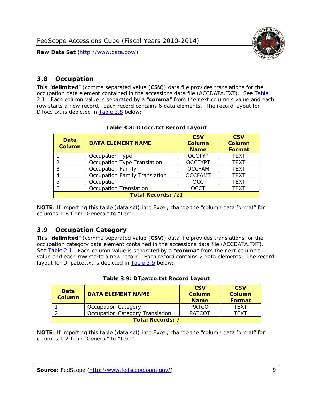

### <span id="page-9-0"></span>*3.8 Occupation*

This "**delimited**" (comma separated value (**CSV**)) data file provides translations for the occupation data element contained in the accessions data file (ACCDATA.TXT). See [Table](#page-4-0)  [2.1.](#page-4-0) Each column value is separated by a "**comma**" from the next column's value and each row starts a new record. Each record contains 6 data elements. The record layout for DTocc.txt is depicted in [Table 3.8](#page-9-2) below:

<span id="page-9-2"></span>

| Data<br><b>Column</b>     | <b>DATA ELEMENT NAME</b>             | <b>CSV</b><br><b>Column</b><br><b>Name</b> | <b>CSV</b><br><b>Column</b><br><b>Format</b> |
|---------------------------|--------------------------------------|--------------------------------------------|----------------------------------------------|
|                           | Occupation Type                      | <b>OCCTYP</b>                              | <b>TEXT</b>                                  |
|                           | Occupation Type Translation          | <b>OCCTYPT</b>                             | <b>TEXT</b>                                  |
| 3                         | <b>Occupation Family</b>             | <b>OCCFAM</b>                              | <b>TEXT</b>                                  |
| 4                         | <b>Occupation Family Translation</b> | <b>OCCFAMT</b>                             | <b>TFXT</b>                                  |
| 5                         | Occupation                           | <b>OCC</b>                                 | <b>TEXT</b>                                  |
| 6                         | <b>Occupation Translation</b>        | <b>OCCT</b>                                | <b>TEXT</b>                                  |
| <b>Total Records: 721</b> |                                      |                                            |                                              |

**NOTE**: If importing this table (data set) into Excel, change the "column data format" for columns 1-6 from "General" to "Text".

#### <span id="page-9-1"></span>*3.9 Occupation Category*

This "**delimited**" (comma separated value (**CSV**)) data file provides translations for the occupation category data element contained in the accessions data file (ACCDATA.TXT). See [Table 2.1.](#page-4-0) Each column value is separated by a "**comma**" from the next column's value and each row starts a new record. Each record contains 2 data elements. The record layout for DTpatco.txt is depicted in **Table 3.9** below:

| Table 3.9: DTpatco.txt Record Layout |  |
|--------------------------------------|--|
|                                      |  |

<span id="page-9-3"></span>

| <b>Data</b><br><b>Column</b> | <b>DATA ELEMENT NAME</b>        | <b>CSV</b><br>Column<br><b>Name</b> | <b>CSV</b><br><b>Column</b><br>Format |
|------------------------------|---------------------------------|-------------------------------------|---------------------------------------|
|                              | <b>Occupation Category</b>      | <b>PATCO</b>                        | <b>TFXT</b>                           |
|                              | Occupation Category Translation | <b>PATCOT</b>                       | <b>TFXT</b>                           |
| <b>Total Records: 7</b>      |                                 |                                     |                                       |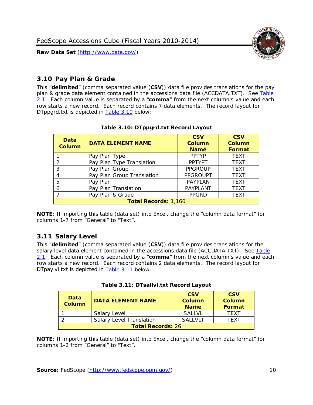

### <span id="page-10-0"></span>*3.10 Pay Plan & Grade*

This "**delimited**" (comma separated value (**CSV**)) data file provides translations for the pay plan & grade data element contained in the accessions data file (ACCDATA.TXT). See [Table](#page-4-0)  [2.1.](#page-4-0) Each column value is separated by a "**comma**" from the next column's value and each row starts a new record. Each record contains 7 data elements. The record layout for DTppgrd.txt is depicted in [Table 3.10](#page-10-2) below:

<span id="page-10-2"></span>

| Data<br><b>Column</b>       | <b>DATA ELEMENT NAME</b>   | <b>CSV</b><br>Column<br><b>Name</b> | <b>CSV</b><br>Column<br><b>Format</b> |
|-----------------------------|----------------------------|-------------------------------------|---------------------------------------|
|                             | Pay Plan Type              | <b>PPTYP</b>                        | <b>TEXT</b>                           |
| $\mathcal{P}$               | Pay Plan Type Translation  | <b>PPTYPT</b>                       | <b>TEXT</b>                           |
| 3                           | Pay Plan Group             | <b>PPGROUP</b>                      | <b>TEXT</b>                           |
|                             | Pay Plan Group Translation | <b>PPGROUPT</b>                     | <b>TEXT</b>                           |
| 5                           | Pay Plan                   | <b>PAYPLAN</b>                      | <b>TEXT</b>                           |
| 6                           | Pay Plan Translation       | PAYPLANT                            | <b>TEXT</b>                           |
|                             | Pay Plan & Grade           | <b>PPGRD</b>                        | <b>TEXT</b>                           |
| <b>Total Records: 1,160</b> |                            |                                     |                                       |

#### **Table 3.10: DTppgrd.txt Record Layout**

**NOTE**: If importing this table (data set) into Excel, change the "column data format" for columns 1-7 from "General" to "Text".

#### <span id="page-10-1"></span>*3.11 Salary Level*

This "**delimited**" (comma separated value (**CSV**)) data file provides translations for the salary level data element contained in the accessions data file (ACCDATA.TXT). See [Table](#page-4-0)  [2.1.](#page-4-0) Each column value is separated by a "**comma**" from the next column's value and each row starts a new record. Each record contains 2 data elements. The record layout for DTpaylvl.txt is depicted in [Table 3.11](#page-10-3) below:

<span id="page-10-3"></span>

| Data<br><b>Column</b>    | <b>DATA ELEMENT NAME</b>        | <b>CSV</b><br><b>Column</b><br><b>Name</b> | <b>CSV</b><br><b>Column</b><br>Format |
|--------------------------|---------------------------------|--------------------------------------------|---------------------------------------|
|                          | Salary Level                    | <b>SALLVL</b>                              | TFXT                                  |
|                          | <b>Salary Level Translation</b> | <b>SALLVLT</b>                             | TFXT                                  |
| <b>Total Records: 26</b> |                                 |                                            |                                       |

|  | Table 3.11: DTsallvl.txt Record Layout |  |
|--|----------------------------------------|--|
|  |                                        |  |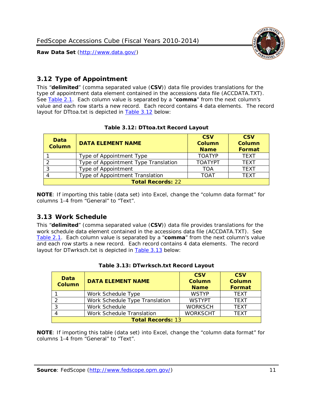

# <span id="page-11-0"></span>*3.12 Type of Appointment*

This "**delimited**" (comma separated value (**CSV**)) data file provides translations for the type of appointment data element contained in the accessions data file (ACCDATA.TXT). See [Table 2.1.](#page-4-0) Each column value is separated by a "**comma**" from the next column's value and each row starts a new record. Each record contains 4 data elements. The record layout for DTtoa.txt is depicted in **Table 3.12** below:

<span id="page-11-2"></span>

| Data<br><b>Column</b>    | <b>DATA ELEMENT NAME</b>             | <b>CSV</b><br><b>Column</b><br><b>Name</b> | <b>CSV</b><br><b>Column</b><br>Format |
|--------------------------|--------------------------------------|--------------------------------------------|---------------------------------------|
|                          | Type of Appointment Type             | <b>TOATYP</b>                              | <b>TEXT</b>                           |
|                          | Type of Appointment Type Translation | <b>TOATYPT</b>                             | <b>TEXT</b>                           |
|                          | Type of Appointment                  | TOA                                        | <b>TEXT</b>                           |
|                          | Type of Appointment Translation      | <b>TOAT</b>                                | <b>TEXT</b>                           |
| <b>Total Records: 22</b> |                                      |                                            |                                       |

#### **Table 3.12: DTtoa.txt Record Layout**

**NOTE**: If importing this table (data set) into Excel, change the "column data format" for columns 1-4 from "General" to "Text".

#### <span id="page-11-1"></span>*3.13 Work Schedule*

This "**delimited**" (comma separated value (**CSV**)) data file provides translations for the work schedule data element contained in the accessions data file (ACCDATA.TXT). See [Table 2.1.](#page-4-0) Each column value is separated by a "**comma**" from the next column's value and each row starts a new record. Each record contains 4 data elements. The record layout for DTwrksch.txt is depicted in **Table 3.13** below:

<span id="page-11-3"></span>

| Data<br><b>Column</b>    | <b>DATA ELEMENT NAME</b>       | <b>CSV</b><br><b>Column</b><br><b>Name</b> | <b>CSV</b><br><b>Column</b><br>Format |
|--------------------------|--------------------------------|--------------------------------------------|---------------------------------------|
|                          | Work Schedule Type             | <b>WSTYP</b>                               | <b>TEXT</b>                           |
|                          | Work Schedule Type Translation | <b>WSTYPT</b>                              | <b>TFXT</b>                           |
|                          | Work Schedule                  | <b>WORKSCH</b>                             | <b>TFXT</b>                           |
|                          | Work Schedule Translation      | <b>WORKSCHT</b>                            | <b>TFXT</b>                           |
| <b>Total Records: 13</b> |                                |                                            |                                       |

|  | Table 3.13: DTwrksch.txt Record Layout |  |
|--|----------------------------------------|--|
|  |                                        |  |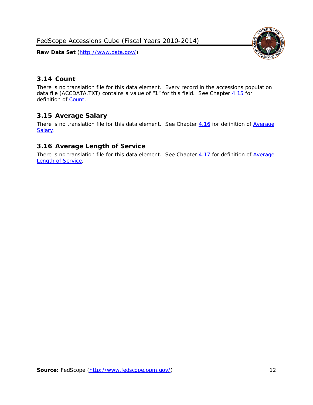FedScope Accessions Cube (Fiscal Years 2010-2014)

**Raw Data Set** (http://www.data.gov/)



# <span id="page-12-0"></span>*3.14 Count*

There is no translation file for this data element. Every record in the accessions population data file (ACCDATA.TXT) contains a value of "1" for this field. See Chapter  $4.15$  for definition of [Count.](#page-16-2)

# <span id="page-12-1"></span>*3.15 Average Salary*

There is no translation file for this data element. See Chapter [4.16](#page-16-3) for definition of [Average](#page-16-3) [Salary.](#page-16-3)

#### <span id="page-12-2"></span>*3.16 Average Length of Service*

There is no translation file for this data element. See Chapter [4.17](#page-16-4) for definition of Average [Length of Service.](#page-16-4)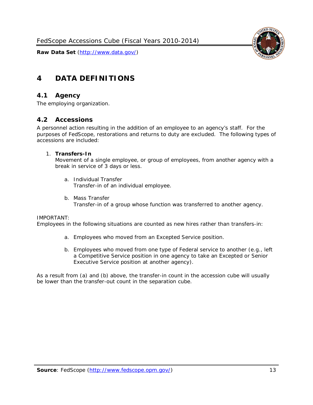

# <span id="page-13-0"></span>**4 DATA DEFINITIONS**

#### <span id="page-13-1"></span>*4.1 Agency*

<span id="page-13-2"></span>The employing organization.

#### *4.2 Accessions*

A personnel action resulting in the addition of an employee to an agency's staff. For the purposes of FedScope, restorations and returns to duty are excluded. The following types of accessions are included:

#### 1. **Transfers-In**

Movement of a single employee, or group of employees, from another agency with a break in service of 3 days or less.

- a. *Individual Transfer* Transfer-in of an individual employee.
- b. *Mass Transfer* Transfer-in of a group whose function was transferred to another agency.

#### IMPORTANT:

Employees in the following situations are counted as new hires rather than transfers-in:

- a. Employees who moved from an Excepted Service position.
- b. Employees who moved from one type of Federal service to another (e.g., left a Competitive Service position in one agency to take an Excepted or Senior Executive Service position at another agency).

As a result from (a) and (b) above, the transfer-in count in the accession cube will usually be lower than the transfer-out count in the separation cube.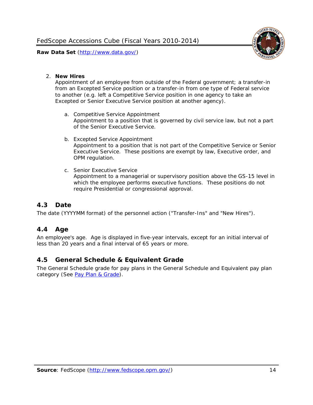

#### 2. **New Hires**

Appointment of an employee from outside of the Federal government; a transfer-in from an Excepted Service position or a transfer-in from one type of Federal service to another (e.g. left a Competitive Service position in one agency to take an Excepted or Senior Executive Service position at another agency).

- a. *Competitive Service Appointment* Appointment to a position that is governed by civil service law, but not a part of the Senior Executive Service.
- b. *Excepted Service Appointment* Appointment to a position that is not part of the Competitive Service or Senior Executive Service. These positions are exempt by law, Executive order, and OPM regulation.
- c. *Senior Executive Service* Appointment to a managerial or supervisory position above the GS-15 level in which the employee performs executive functions. These positions do not require Presidential or congressional approval.

# <span id="page-14-0"></span>*4.3 Date*

<span id="page-14-1"></span>The date (YYYYMM format) of the personnel action ("Transfer-Ins" and "New Hires").

#### *4.4 Age*

An employee's age. Age is displayed in five-year intervals, except for an initial interval of less than 20 years and a final interval of 65 years or more.

#### <span id="page-14-2"></span>*4.5 General Schedule & Equivalent Grade*

The General Schedule grade for pay plans in the General Schedule and Equivalent pay plan category (See [Pay Plan & Grade\)](#page-10-0).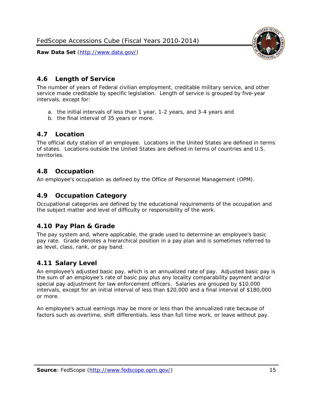

#### <span id="page-15-0"></span>*4.6 Length of Service*

The number of years of Federal civilian employment, creditable military service, and other service made creditable by specific legislation. Length of service is grouped by five-year intervals, except for:

- a. the initial intervals of less than 1 year, 1-2 years, and 3-4 years and
- b. the final interval of 35 years or more.

#### <span id="page-15-1"></span>*4.7 Location*

The official duty station of an employee. Locations in the United States are defined in terms of states. Locations outside the United States are defined in terms of countries and U.S. territories.

#### <span id="page-15-2"></span>*4.8 Occupation*

<span id="page-15-3"></span>An employee's occupation as defined by the Office of Personnel Management (OPM).

#### *4.9 Occupation Category*

Occupational categories are defined by the educational requirements of the occupation and the subject matter and level of difficulty or responsibility of the work.

# <span id="page-15-4"></span>*4.10 Pay Plan & Grade*

The pay system and, where applicable, the grade used to determine an employee's basic pay rate. Grade denotes a hierarchical position in a pay plan and is sometimes referred to as level, class, rank, or pay band.

# <span id="page-15-5"></span>*4.11 Salary Level*

An employee's adjusted basic pay, which is an annualized rate of pay. Adjusted basic pay is the sum of an employee's rate of basic pay plus any locality comparability payment and/or special pay adjustment for law enforcement officers. Salaries are grouped by \$10,000 intervals, except for an initial interval of less than \$20,000 and a final interval of \$180,000 or more.

An employee's actual earnings may be more or less than the annualized rate because of factors such as overtime, shift differentials, less than full time work, or leave without pay.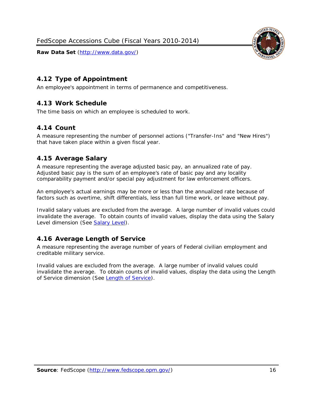

<span id="page-16-0"></span>

<span id="page-16-1"></span>An employee's appointment in terms of permanence and competitiveness.

### *4.13 Work Schedule*

<span id="page-16-2"></span>The time basis on which an employee is scheduled to work.

#### *4.14 Count*

A measure representing the number of personnel actions ("Transfer-Ins" and "New Hires") that have taken place within a given fiscal year.

# <span id="page-16-3"></span>*4.15 Average Salary*

A measure representing the average adjusted basic pay, an annualized rate of pay. Adjusted basic pay is the sum of an employee's rate of basic pay and any locality comparability payment and/or special pay adjustment for law enforcement officers.

An employee's actual earnings may be more or less than the annualized rate because of factors such as overtime, shift differentials, less than full time work, or leave without pay.

Invalid salary values are excluded from the average. A large number of invalid values could invalidate the average. To obtain counts of invalid values, display the data using the Salary Level dimension (See [Salary Level\)](#page-15-5).

# <span id="page-16-4"></span>*4.16 Average Length of Service*

A measure representing the average number of years of Federal civilian employment and creditable military service.

Invalid values are excluded from the average. A large number of invalid values could invalidate the average. To obtain counts of invalid values, display the data using the Length of Service dimension (See [Length of Service\)](#page-15-0).